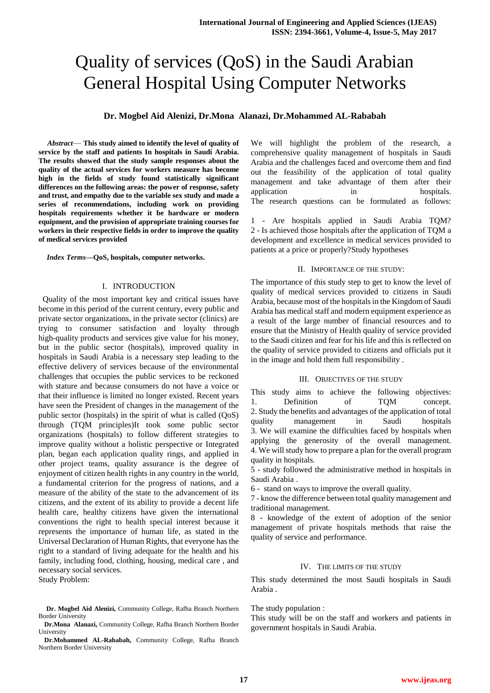# Quality of services (QoS) in the Saudi Arabian General Hospital Using Computer Networks

## **Dr. Mogbel Aid Alenizi, Dr.Mona Alanazi, Dr.Mohammed AL-Rababah**

*Abstract*— **This study aimed to identify the level of quality of service by the staff and patients In hospitals in Saudi Arabia. The results showed that the study sample responses about the quality of the actual services for workers measure has become high in the fields of study found statistically significant differences on the following areas: the power of response, safety and trust, and empathy due to the variable sex study and made a series of recommendations, including work on providing hospitals requirements whether it be hardware or modern equipment, and the provision of appropriate training courses for workers in their respective fields in order to improve the quality of medical services provided**

#### *Index Terms***—QoS, hospitals, computer networks.**

#### I. INTRODUCTION

 Quality of the most important key and critical issues have become in this period of the current century, every public and private sector organizations, in the private sector (clinics) are trying to consumer satisfaction and loyalty through high-quality products and services give value for his money, but in the public sector (hospitals), improved quality in hospitals in Saudi Arabia is a necessary step leading to the effective delivery of services because of the environmental challenges that occupies the public services to be reckoned with stature and because consumers do not have a voice or that their influence is limited no longer existed. Recent years have seen the President of changes in the management of the public sector (hospitals) in the spirit of what is called (QoS) through (TQM principles)It took some public sector organizations (hospitals) to follow different strategies to improve quality without a holistic perspective or Integrated plan, began each application quality rings, and applied in other project teams, quality assurance is the degree of enjoyment of citizen health rights in any country in the world, a fundamental criterion for the progress of nations, and a measure of the ability of the state to the advancement of its citizens, and the extent of its ability to provide a decent life health care, healthy citizens have given the international conventions the right to health special interest because it represents the importance of human life, as stated in the Universal Declaration of Human Rights, that everyone has the right to a standard of living adequate for the health and his family, including food, clothing, housing, medical care , and necessary social services.

Study Problem:

**Dr.Mona Alanazi,** Community College, Rafha Branch Northern Border University

We will highlight the problem of the research, a comprehensive quality management of hospitals in Saudi Arabia and the challenges faced and overcome them and find out the feasibility of the application of total quality management and take advantage of them after their application in hospitals. The research questions can be formulated as follows:

1 - Are hospitals applied in Saudi Arabia TQM? 2 - Is achieved those hospitals after the application of TQM a development and excellence in medical services provided to patients at a price or properly?Study hypotheses

#### II. IMPORTANCE OF THE STUDY:

The importance of this study step to get to know the level of quality of medical services provided to citizens in Saudi Arabia, because most of the hospitals in the Kingdom of Saudi Arabia has medical staff and modern equipment experience as a result of the large number of financial resources and to ensure that the Ministry of Health quality of service provided to the Saudi citizen and fear for his life and this is reflected on the quality of service provided to citizens and officials put it in the image and hold them full responsibility .

#### III. OBJECTIVES OF THE STUDY

This study aims to achieve the following objectives: 1. Definition of TOM concept. 2. Study the benefits and advantages of the application of total quality management in Saudi hospitals 3. We will examine the difficulties faced by hospitals when applying the generosity of the overall management. 4. We will study how to prepare a plan for the overall program quality in hospitals.

5 - study followed the administrative method in hospitals in Saudi Arabia .

6 - stand on ways to improve the overall quality.

7 - know the difference between total quality management and traditional management.

8 - knowledge of the extent of adoption of the senior management of private hospitals methods that raise the quality of service and performance.

#### IV. THE LIMITS OF THE STUDY

This study determined the most Saudi hospitals in Saudi Arabia .

## The study population :

This study will be on the staff and workers and patients in government hospitals in Saudi Arabia.

**Dr. Mogbel Aid Alenizi,** Community College, Rafha Branch Northern Border University

**Dr.Mohammed AL-Rababah,** Community College, Rafha Branch Northern Border University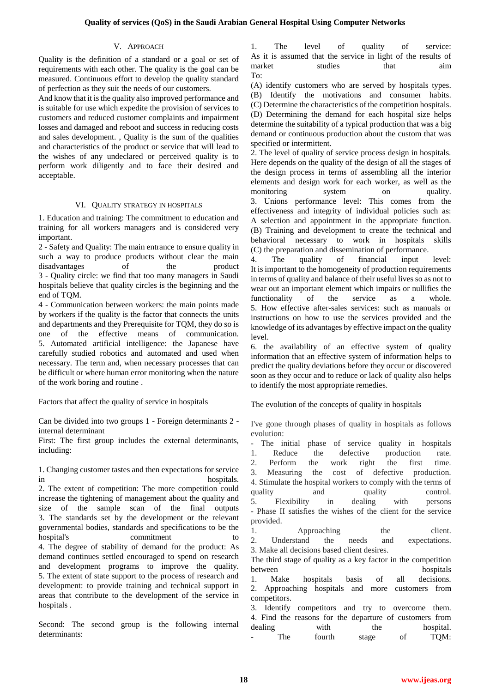# V. APPROACH

Quality is the definition of a standard or a goal or set of requirements with each other. The quality is the goal can be measured. Continuous effort to develop the quality standard of perfection as they suit the needs of our customers.

And know that it is the quality also improved performance and is suitable for use which expedite the provision of services to customers and reduced customer complaints and impairment losses and damaged and reboot and success in reducing costs and sales development. , Quality is the sum of the qualities and characteristics of the product or service that will lead to the wishes of any undeclared or perceived quality is to perform work diligently and to face their desired and acceptable.

## VI. QUALITY STRATEGY IN HOSPITALS

1. Education and training: The commitment to education and training for all workers managers and is considered very important.

2 - Safety and Quality: The main entrance to ensure quality in such a way to produce products without clear the main disadvantages of the product 3 - Quality circle: we find that too many managers in Saudi hospitals believe that quality circles is the beginning and the end of TQM.

4 - Communication between workers: the main points made by workers if the quality is the factor that connects the units and departments and they Prerequisite for TQM, they do so is one of the effective means of communication. 5. Automated artificial intelligence: the Japanese have carefully studied robotics and automated and used when necessary. The term and, when necessary processes that can be difficult or where human error monitoring when the nature of the work boring and routine .

Factors that affect the quality of service in hospitals

Can be divided into two groups 1 - Foreign determinants 2 internal determinant

First: The first group includes the external determinants, including:

1. Changing customer tastes and then expectations for service in hospitals.

2. The extent of competition: The more competition could increase the tightening of management about the quality and size of the sample scan of the final outputs 3. The standards set by the development or the relevant governmental bodies, standards and specifications to be the hospital's commitment to 4. The degree of stability of demand for the product: As demand continues settled encouraged to spend on research and development programs to improve the quality. 5. The extent of state support to the process of research and development: to provide training and technical support in areas that contribute to the development of the service in hospitals .

Second: The second group is the following internal determinants:

1. The level of quality of service: As it is assumed that the service in light of the results of market studies that aim To:

(A) identify customers who are served by hospitals types. (B) Identify the motivations and consumer habits. (C) Determine the characteristics of the competition hospitals. (D) Determining the demand for each hospital size helps determine the suitability of a typical production that was a big demand or continuous production about the custom that was specified or intermittent.

2. The level of quality of service process design in hospitals. Here depends on the quality of the design of all the stages of the design process in terms of assembling all the interior elements and design work for each worker, as well as the monitoring system on quality. 3. Unions performance level: This comes from the effectiveness and integrity of individual policies such as: A selection and appointment in the appropriate function. (B) Training and development to create the technical and behavioral necessary to work in hospitals skills (C) the preparation and dissemination of performance.

4. The quality of financial input level: It is important to the homogeneity of production requirements in terms of quality and balance of their useful lives so as not to wear out an important element which impairs or nullifies the functionality of the service as a whole. 5. How effective after-sales services: such as manuals or instructions on how to use the services provided and the knowledge of its advantages by effective impact on the quality level.

6. the availability of an effective system of quality information that an effective system of information helps to predict the quality deviations before they occur or discovered soon as they occur and to reduce or lack of quality also helps to identify the most appropriate remedies.

The evolution of the concepts of quality in hospitals

I've gone through phases of quality in hospitals as follows evolution:

The initial phase of service quality in hospitals 1. Reduce the defective production rate. 2. Perform the work right the first time. 3. Measuring the cost of defective production. 4. Stimulate the hospital workers to comply with the terms of quality and quality control. 5. Flexibility in dealing with persons - Phase II satisfies the wishes of the client for the service provided.

1. Approaching the client. 2. Understand the needs and expectations. 3. Make all decisions based client desires.

The third stage of quality as a key factor in the competition between hospitals 1. Make hospitals basis of all decisions.

2. Approaching hospitals and more customers from competitors.

3. Identify competitors and try to overcome them. 4. Find the reasons for the departure of customers from dealing with the hospital. - The fourth stage of TQM: